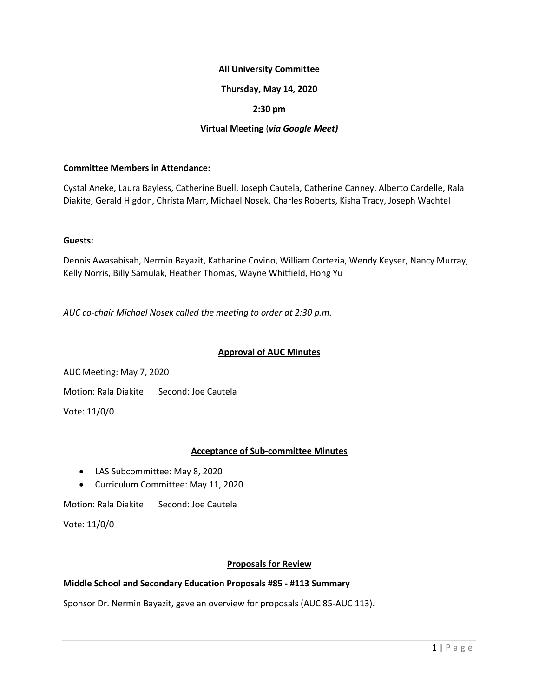## **All University Committee**

## **Thursday, May 14, 2020**

## **2:30 pm**

## **Virtual Meeting** (*via Google Meet)*

#### **Committee Members in Attendance:**

Cystal Aneke, Laura Bayless, Catherine Buell, Joseph Cautela, Catherine Canney, Alberto Cardelle, Rala Diakite, Gerald Higdon, Christa Marr, Michael Nosek, Charles Roberts, Kisha Tracy, Joseph Wachtel

#### **Guests:**

Dennis Awasabisah, Nermin Bayazit, Katharine Covino, William Cortezia, Wendy Keyser, Nancy Murray, Kelly Norris, Billy Samulak, Heather Thomas, Wayne Whitfield, Hong Yu

*AUC co-chair Michael Nosek called the meeting to order at 2:30 p.m.*

### **Approval of AUC Minutes**

AUC Meeting: May 7, 2020

Motion: Rala Diakite Second: Joe Cautela

Vote: 11/0/0

### **Acceptance of Sub-committee Minutes**

- LAS Subcommittee: May 8, 2020
- Curriculum Committee: May 11, 2020

Motion: Rala Diakite Second: Joe Cautela

Vote: 11/0/0

### **Proposals for Review**

# **Middle School and Secondary Education Proposals #85 - #113 Summary**

Sponsor Dr. Nermin Bayazit, gave an overview for proposals (AUC 85-AUC 113).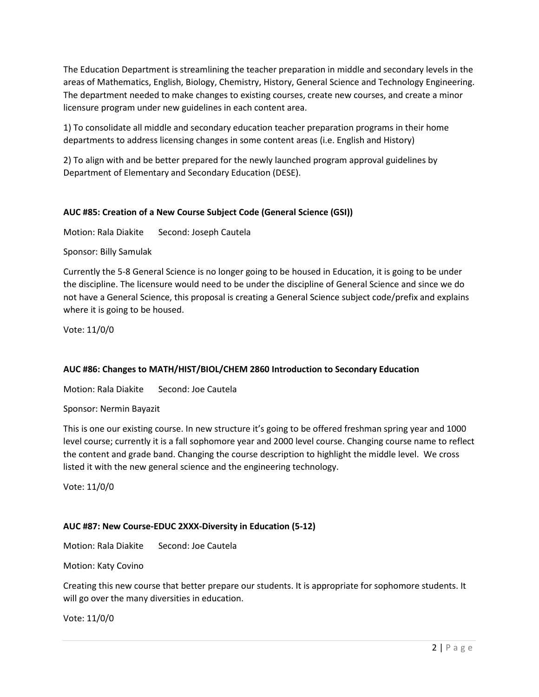The Education Department is streamlining the teacher preparation in middle and secondary levels in the areas of Mathematics, English, Biology, Chemistry, History, General Science and Technology Engineering. The department needed to make changes to existing courses, create new courses, and create a minor licensure program under new guidelines in each content area.

1) To consolidate all middle and secondary education teacher preparation programs in their home departments to address licensing changes in some content areas (i.e. English and History)

2) To align with and be better prepared for the newly launched program approval guidelines by Department of Elementary and Secondary Education (DESE).

# **AUC #85: Creation of a New Course Subject Code (General Science (GSI))**

Motion: Rala Diakite Second: Joseph Cautela

Sponsor: Billy Samulak

Currently the 5-8 General Science is no longer going to be housed in Education, it is going to be under the discipline. The licensure would need to be under the discipline of General Science and since we do not have a General Science, this proposal is creating a General Science subject code/prefix and explains where it is going to be housed.

Vote: 11/0/0

# **AUC #86: Changes to MATH/HIST/BIOL/CHEM 2860 Introduction to Secondary Education**

Motion: Rala Diakite Second: Joe Cautela

Sponsor: Nermin Bayazit

This is one our existing course. In new structure it's going to be offered freshman spring year and 1000 level course; currently it is a fall sophomore year and 2000 level course. Changing course name to reflect the content and grade band. Changing the course description to highlight the middle level. We cross listed it with the new general science and the engineering technology.

Vote: 11/0/0

# **AUC #87: New Course-EDUC 2XXX-Diversity in Education (5-12)**

Motion: Rala Diakite Second: Joe Cautela

Motion: Katy Covino

Creating this new course that better prepare our students. It is appropriate for sophomore students. It will go over the many diversities in education.

Vote: 11/0/0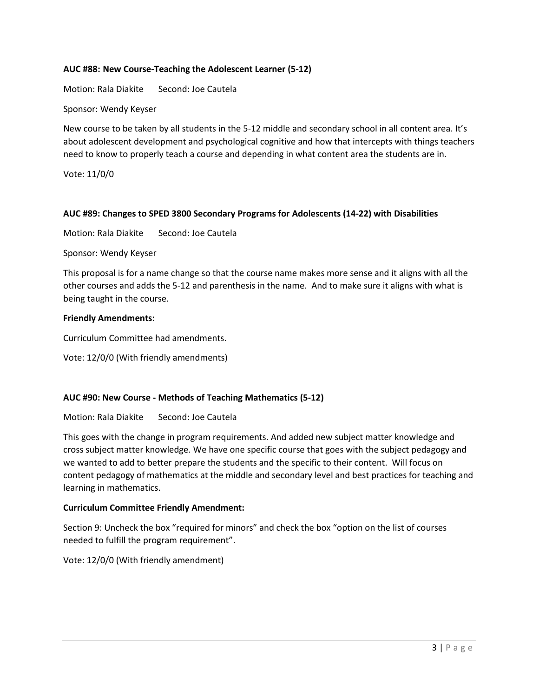## **AUC #88: New Course-Teaching the Adolescent Learner (5-12)**

Motion: Rala Diakite Second: Joe Cautela

Sponsor: Wendy Keyser

New course to be taken by all students in the 5-12 middle and secondary school in all content area. It's about adolescent development and psychological cognitive and how that intercepts with things teachers need to know to properly teach a course and depending in what content area the students are in.

Vote: 11/0/0

### **AUC #89: Changes to SPED 3800 Secondary Programs for Adolescents (14-22) with Disabilities**

Motion: Rala Diakite Second: Joe Cautela

Sponsor: Wendy Keyser

This proposal is for a name change so that the course name makes more sense and it aligns with all the other courses and adds the 5-12 and parenthesis in the name. And to make sure it aligns with what is being taught in the course.

#### **Friendly Amendments:**

Curriculum Committee had amendments.

Vote: 12/0/0 (With friendly amendments)

### **AUC #90: New Course - Methods of Teaching Mathematics (5-12)**

Motion: Rala Diakite Second: Joe Cautela

This goes with the change in program requirements. And added new subject matter knowledge and cross subject matter knowledge. We have one specific course that goes with the subject pedagogy and we wanted to add to better prepare the students and the specific to their content. Will focus on content pedagogy of mathematics at the middle and secondary level and best practices for teaching and learning in mathematics.

### **Curriculum Committee Friendly Amendment:**

Section 9: Uncheck the box "required for minors" and check the box "option on the list of courses needed to fulfill the program requirement".

Vote: 12/0/0 (With friendly amendment)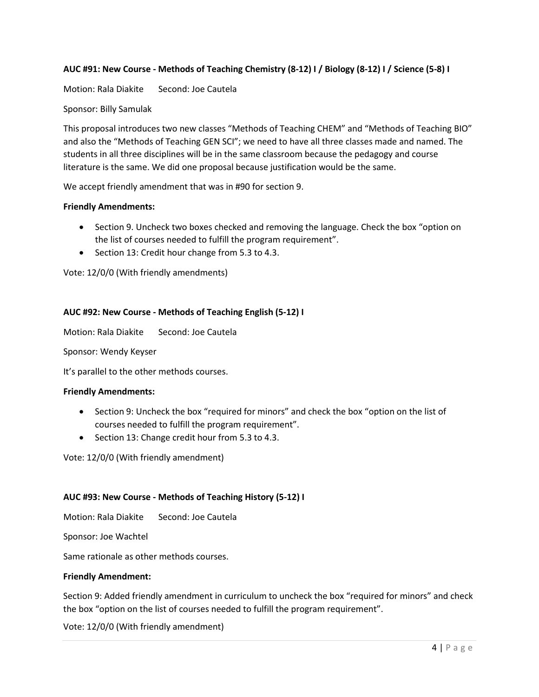# **AUC #91: New Course - Methods of Teaching Chemistry (8-12) I / Biology (8-12) I / Science (5-8) I**

Motion: Rala Diakite Second: Joe Cautela

#### Sponsor: Billy Samulak

This proposal introduces two new classes "Methods of Teaching CHEM" and "Methods of Teaching BIO" and also the "Methods of Teaching GEN SCI"; we need to have all three classes made and named. The students in all three disciplines will be in the same classroom because the pedagogy and course literature is the same. We did one proposal because justification would be the same.

We accept friendly amendment that was in #90 for section 9.

#### **Friendly Amendments:**

- Section 9. Uncheck two boxes checked and removing the language. Check the box "option on the list of courses needed to fulfill the program requirement".
- Section 13: Credit hour change from 5.3 to 4.3.

Vote: 12/0/0 (With friendly amendments)

#### **AUC #92: New Course - Methods of Teaching English (5-12) I**

Motion: Rala Diakite Second: Joe Cautela

Sponsor: Wendy Keyser

It's parallel to the other methods courses.

#### **Friendly Amendments:**

- Section 9: Uncheck the box "required for minors" and check the box "option on the list of courses needed to fulfill the program requirement".
- Section 13: Change credit hour from 5.3 to 4.3.

Vote: 12/0/0 (With friendly amendment)

#### **AUC #93: New Course - Methods of Teaching History (5-12) I**

Motion: Rala Diakite Second: Joe Cautela

Sponsor: Joe Wachtel

Same rationale as other methods courses.

#### **Friendly Amendment:**

Section 9: Added friendly amendment in curriculum to uncheck the box "required for minors" and check the box "option on the list of courses needed to fulfill the program requirement".

Vote: 12/0/0 (With friendly amendment)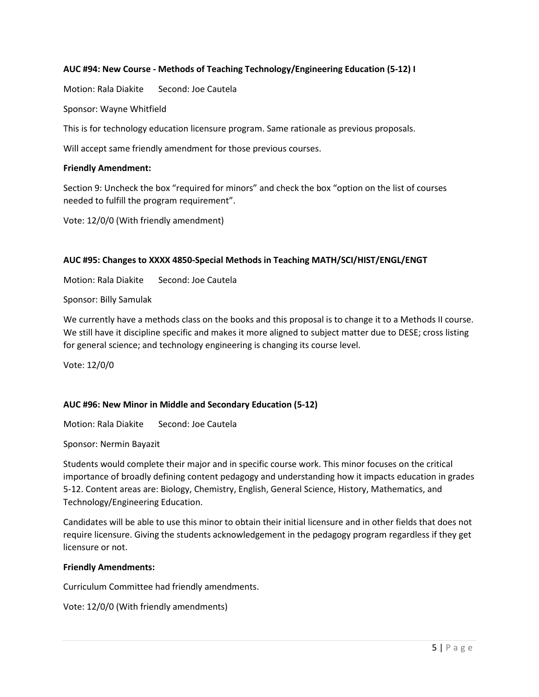## **AUC #94: New Course - Methods of Teaching Technology/Engineering Education (5-12) I**

Motion: Rala Diakite Second: Joe Cautela

Sponsor: Wayne Whitfield

This is for technology education licensure program. Same rationale as previous proposals.

Will accept same friendly amendment for those previous courses.

#### **Friendly Amendment:**

Section 9: Uncheck the box "required for minors" and check the box "option on the list of courses needed to fulfill the program requirement".

Vote: 12/0/0 (With friendly amendment)

#### **AUC #95: Changes to XXXX 4850-Special Methods in Teaching MATH/SCI/HIST/ENGL/ENGT**

Motion: Rala Diakite Second: Joe Cautela

Sponsor: Billy Samulak

We currently have a methods class on the books and this proposal is to change it to a Methods II course. We still have it discipline specific and makes it more aligned to subject matter due to DESE; cross listing for general science; and technology engineering is changing its course level.

Vote: 12/0/0

### **AUC #96: New Minor in Middle and Secondary Education (5-12)**

Motion: Rala Diakite Second: Joe Cautela

Sponsor: Nermin Bayazit

Students would complete their major and in specific course work. This minor focuses on the critical importance of broadly defining content pedagogy and understanding how it impacts education in grades 5-12. Content areas are: Biology, Chemistry, English, General Science, History, Mathematics, and Technology/Engineering Education.

Candidates will be able to use this minor to obtain their initial licensure and in other fields that does not require licensure. Giving the students acknowledgement in the pedagogy program regardless if they get licensure or not.

#### **Friendly Amendments:**

Curriculum Committee had friendly amendments.

Vote: 12/0/0 (With friendly amendments)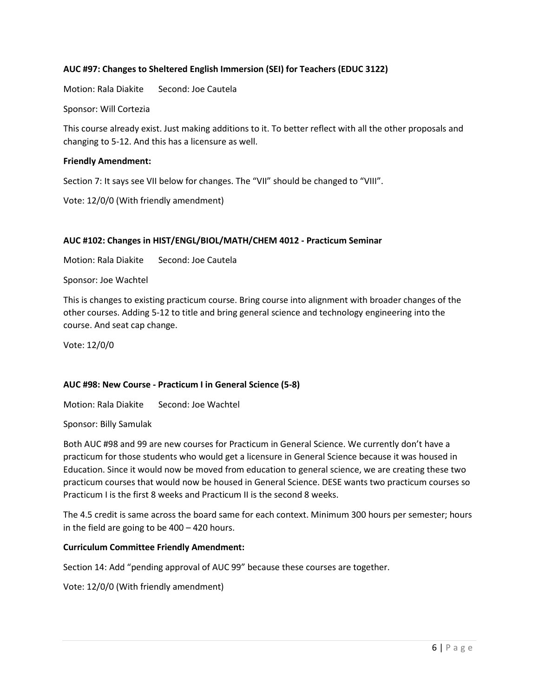## **AUC #97: Changes to Sheltered English Immersion (SEI) for Teachers (EDUC 3122)**

Motion: Rala Diakite Second: Joe Cautela

Sponsor: Will Cortezia

This course already exist. Just making additions to it. To better reflect with all the other proposals and changing to 5-12. And this has a licensure as well.

### **Friendly Amendment:**

Section 7: It says see VII below for changes. The "VII" should be changed to "VIII".

Vote: 12/0/0 (With friendly amendment)

## **AUC #102: Changes in HIST/ENGL/BIOL/MATH/CHEM 4012 - Practicum Seminar**

Motion: Rala Diakite Second: Joe Cautela

Sponsor: Joe Wachtel

This is changes to existing practicum course. Bring course into alignment with broader changes of the other courses. Adding 5-12 to title and bring general science and technology engineering into the course. And seat cap change.

Vote: 12/0/0

### **AUC #98: New Course - Practicum I in General Science (5-8)**

Motion: Rala Diakite Second: Joe Wachtel

Sponsor: Billy Samulak

Both AUC #98 and 99 are new courses for Practicum in General Science. We currently don't have a practicum for those students who would get a licensure in General Science because it was housed in Education. Since it would now be moved from education to general science, we are creating these two practicum courses that would now be housed in General Science. DESE wants two practicum courses so Practicum I is the first 8 weeks and Practicum II is the second 8 weeks.

The 4.5 credit is same across the board same for each context. Minimum 300 hours per semester; hours in the field are going to be 400 – 420 hours.

### **Curriculum Committee Friendly Amendment:**

Section 14: Add "pending approval of AUC 99" because these courses are together.

Vote: 12/0/0 (With friendly amendment)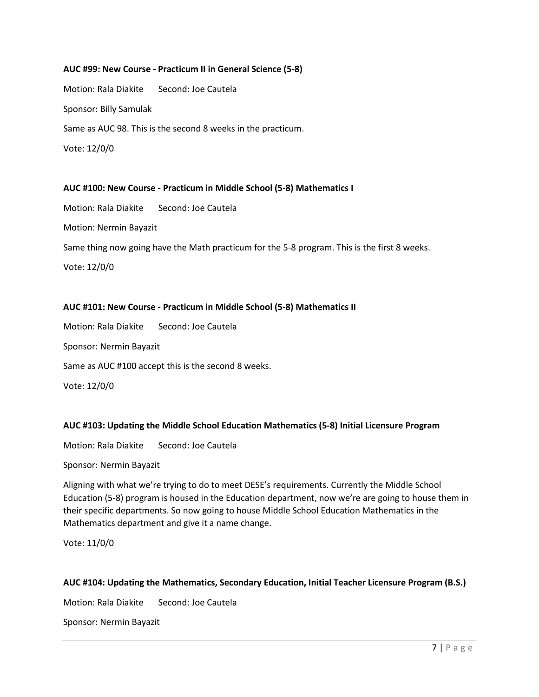#### **AUC #99: New Course - Practicum II in General Science (5-8)**

Motion: Rala Diakite Second: Joe Cautela Sponsor: Billy Samulak Same as AUC 98. This is the second 8 weeks in the practicum. Vote: 12/0/0

#### **AUC #100: New Course - Practicum in Middle School (5-8) Mathematics I**

Motion: Rala Diakite Second: Joe Cautela Motion: Nermin Bayazit Same thing now going have the Math practicum for the 5-8 program. This is the first 8 weeks. Vote: 12/0/0

### **AUC #101: New Course - Practicum in Middle School (5-8) Mathematics II**

Motion: Rala Diakite Second: Joe Cautela Sponsor: Nermin Bayazit Same as AUC #100 accept this is the second 8 weeks. Vote: 12/0/0

### **AUC #103: Updating the Middle School Education Mathematics (5-8) Initial Licensure Program**

Motion: Rala Diakite Second: Joe Cautela

Sponsor: Nermin Bayazit

Aligning with what we're trying to do to meet DESE's requirements. Currently the Middle School Education (5-8) program is housed in the Education department, now we're are going to house them in their specific departments. So now going to house Middle School Education Mathematics in the Mathematics department and give it a name change.

Vote: 11/0/0

### **AUC #104: Updating the Mathematics, Secondary Education, Initial Teacher Licensure Program (B.S.)**

Motion: Rala Diakite Second: Joe Cautela

Sponsor: Nermin Bayazit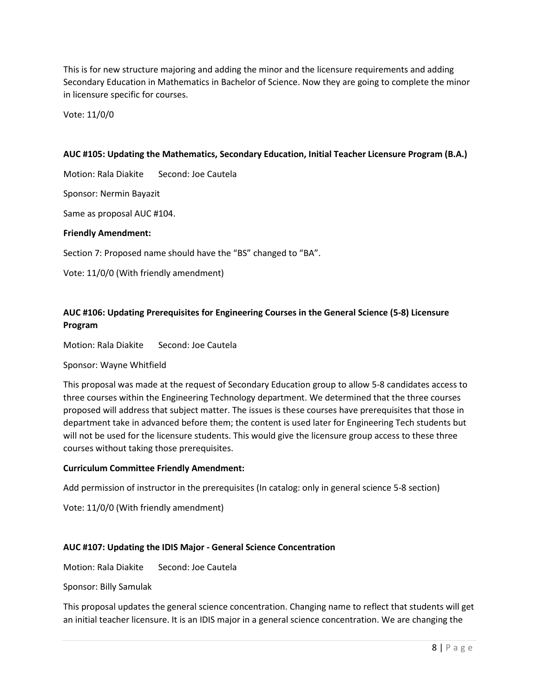This is for new structure majoring and adding the minor and the licensure requirements and adding Secondary Education in Mathematics in Bachelor of Science. Now they are going to complete the minor in licensure specific for courses.

Vote: 11/0/0

### **AUC #105: Updating the Mathematics, Secondary Education, Initial Teacher Licensure Program (B.A.)**

Motion: Rala Diakite Second: Joe Cautela

Sponsor: Nermin Bayazit

Same as proposal AUC #104.

#### **Friendly Amendment:**

Section 7: Proposed name should have the "BS" changed to "BA".

Vote: 11/0/0 (With friendly amendment)

# **AUC #106: Updating Prerequisites for Engineering Courses in the General Science (5-8) Licensure Program**

Motion: Rala Diakite Second: Joe Cautela

#### Sponsor: Wayne Whitfield

This proposal was made at the request of Secondary Education group to allow 5-8 candidates access to three courses within the Engineering Technology department. We determined that the three courses proposed will address that subject matter. The issues is these courses have prerequisites that those in department take in advanced before them; the content is used later for Engineering Tech students but will not be used for the licensure students. This would give the licensure group access to these three courses without taking those prerequisites.

#### **Curriculum Committee Friendly Amendment:**

Add permission of instructor in the prerequisites (In catalog: only in general science 5-8 section)

Vote: 11/0/0 (With friendly amendment)

#### **AUC #107: Updating the IDIS Major - General Science Concentration**

Motion: Rala Diakite Second: Joe Cautela

Sponsor: Billy Samulak

This proposal updates the general science concentration. Changing name to reflect that students will get an initial teacher licensure. It is an IDIS major in a general science concentration. We are changing the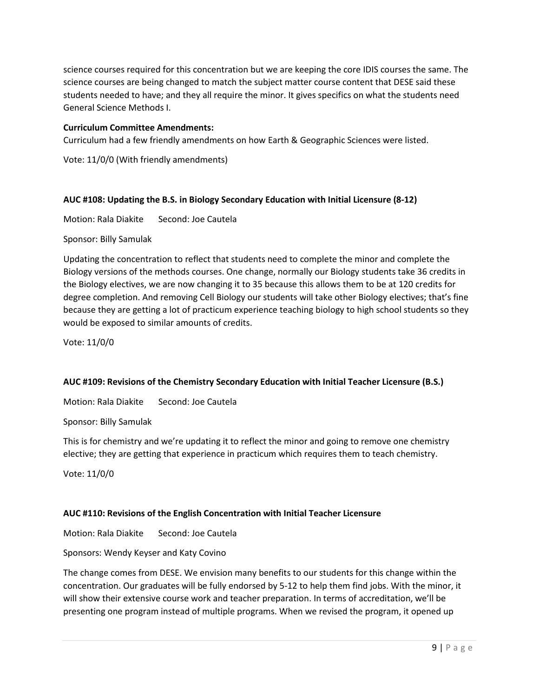science courses required for this concentration but we are keeping the core IDIS courses the same. The science courses are being changed to match the subject matter course content that DESE said these students needed to have; and they all require the minor. It gives specifics on what the students need General Science Methods I.

## **Curriculum Committee Amendments:**

Curriculum had a few friendly amendments on how Earth & Geographic Sciences were listed.

Vote: 11/0/0 (With friendly amendments)

### **AUC #108: Updating the B.S. in Biology Secondary Education with Initial Licensure (8-12)**

Motion: Rala Diakite Second: Joe Cautela

Sponsor: Billy Samulak

Updating the concentration to reflect that students need to complete the minor and complete the Biology versions of the methods courses. One change, normally our Biology students take 36 credits in the Biology electives, we are now changing it to 35 because this allows them to be at 120 credits for degree completion. And removing Cell Biology our students will take other Biology electives; that's fine because they are getting a lot of practicum experience teaching biology to high school students so they would be exposed to similar amounts of credits.

Vote: 11/0/0

# **AUC #109: Revisions of the Chemistry Secondary Education with Initial Teacher Licensure (B.S.)**

Motion: Rala Diakite Second: Joe Cautela

Sponsor: Billy Samulak

This is for chemistry and we're updating it to reflect the minor and going to remove one chemistry elective; they are getting that experience in practicum which requires them to teach chemistry.

Vote: 11/0/0

# **AUC #110: Revisions of the English Concentration with Initial Teacher Licensure**

Motion: Rala Diakite Second: Joe Cautela

Sponsors: Wendy Keyser and Katy Covino

The change comes from DESE. We envision many benefits to our students for this change within the concentration. Our graduates will be fully endorsed by 5-12 to help them find jobs. With the minor, it will show their extensive course work and teacher preparation. In terms of accreditation, we'll be presenting one program instead of multiple programs. When we revised the program, it opened up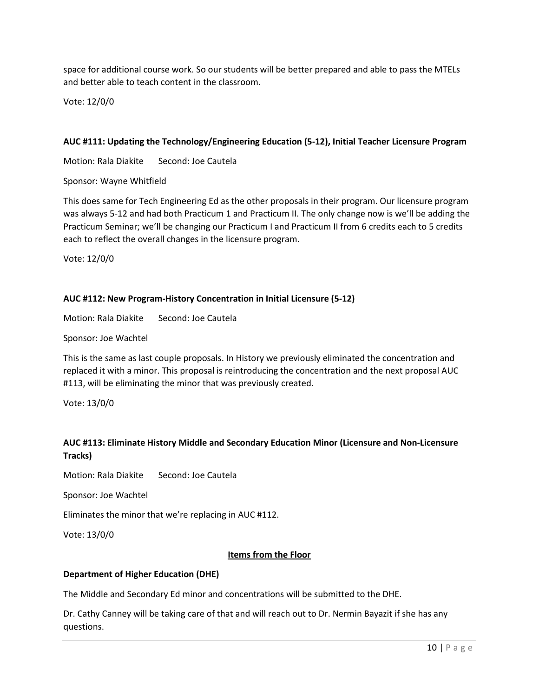space for additional course work. So our students will be better prepared and able to pass the MTELs and better able to teach content in the classroom.

Vote: 12/0/0

## **AUC #111: Updating the Technology/Engineering Education (5-12), Initial Teacher Licensure Program**

Motion: Rala Diakite Second: Joe Cautela

Sponsor: Wayne Whitfield

This does same for Tech Engineering Ed as the other proposals in their program. Our licensure program was always 5-12 and had both Practicum 1 and Practicum II. The only change now is we'll be adding the Practicum Seminar; we'll be changing our Practicum I and Practicum II from 6 credits each to 5 credits each to reflect the overall changes in the licensure program.

Vote: 12/0/0

## **AUC #112: New Program-History Concentration in Initial Licensure (5-12)**

Motion: Rala Diakite Second: Joe Cautela

Sponsor: Joe Wachtel

This is the same as last couple proposals. In History we previously eliminated the concentration and replaced it with a minor. This proposal is reintroducing the concentration and the next proposal AUC #113, will be eliminating the minor that was previously created.

Vote: 13/0/0

# **AUC #113: Eliminate History Middle and Secondary Education Minor (Licensure and Non-Licensure Tracks)**

Motion: Rala Diakite Second: Joe Cautela

Sponsor: Joe Wachtel

Eliminates the minor that we're replacing in AUC #112.

Vote: 13/0/0

### **Items from the Floor**

### **Department of Higher Education (DHE)**

The Middle and Secondary Ed minor and concentrations will be submitted to the DHE.

Dr. Cathy Canney will be taking care of that and will reach out to Dr. Nermin Bayazit if she has any questions.